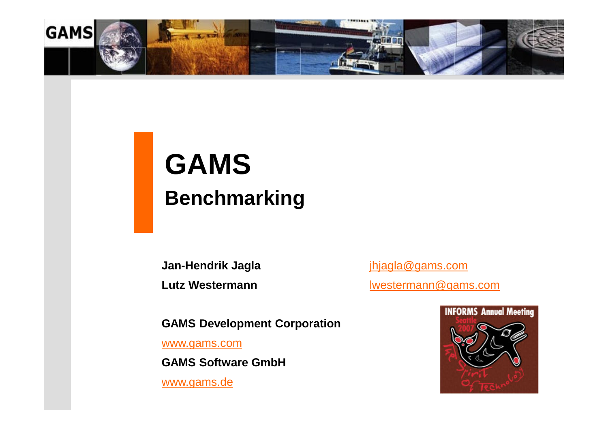

# **GAMS Benchmarking**

**Jan-Hendrik Jagla** [jhjagla@gams.com](mailto:jhjagla@gams.com) Lutz Westermann **lattermann** [lwestermann@gams.com](mailto:lwestermann@gams.com)

**GAMS Development Corporation** 

[www.gams.com](http://www.gams.com)

**GAMS Software GmbH**

[www.gams.de](http://www.gams.de)

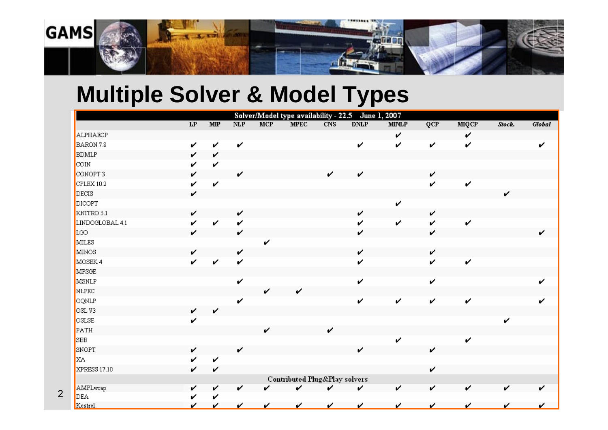

## **Multiple Solver & Model Types**

2

|                 |    |                        |     |            |                                          |     | Solver/Model type availability - 22.5 June 1, 2007 |              |     |              |        |        |
|-----------------|----|------------------------|-----|------------|------------------------------------------|-----|----------------------------------------------------|--------------|-----|--------------|--------|--------|
|                 | LP | $\overline{\text{MP}}$ | NLP | <b>MCP</b> | <b>MPEC</b>                              | CNS | <b>DNLP</b>                                        | <b>MINLP</b> | QCP | <b>MIQCP</b> | Stock. | Global |
| ALPHAECP        |    |                        |     |            |                                          |     |                                                    | V            |     | v            |        |        |
| BARON 7.8       | v  | V                      | v   |            |                                          |     | V                                                  | V            | v   | V            |        | ✓      |
| <b>BDMLP</b>    | V  | V                      |     |            |                                          |     |                                                    |              |     |              |        |        |
| <b>COIN</b>     | v  | V                      |     |            |                                          |     |                                                    |              |     |              |        |        |
| CONOPT 3        | v  |                        | V   |            |                                          | V   | v                                                  |              | v   |              |        |        |
| CPLEX 10.2      | v  | V                      |     |            |                                          |     |                                                    |              | V   | V            |        |        |
| DECIS           | v  |                        |     |            |                                          |     |                                                    |              |     |              | v      |        |
| DICOPT          |    |                        |     |            |                                          |     |                                                    | v            |     |              |        |        |
| KNITRO 5.1      | v  |                        | v   |            |                                          |     | v                                                  |              | V   |              |        |        |
| LINDOGLOBAL 4.1 | v  | V                      | v   |            |                                          |     | v                                                  | v            | V   | V            |        |        |
| LGO             | v  |                        | V   |            |                                          |     | v                                                  |              | V   |              |        | ✓      |
| MILES           |    |                        |     | ✓          |                                          |     |                                                    |              |     |              |        |        |
| <b>MINOS</b>    | v  |                        | v   |            |                                          |     | v                                                  |              | V   |              |        |        |
| MOSEK 4         | v  | V                      | V   |            |                                          |     | v                                                  |              | v   | v            |        |        |
| MPSGE           |    |                        |     |            |                                          |     |                                                    |              |     |              |        |        |
| MSNLP           |    |                        | V   |            |                                          |     | v                                                  |              | V   |              |        |        |
| NLPEC           |    |                        |     | v          | v                                        |     |                                                    |              |     |              |        |        |
| OQNLP           |    |                        | v   |            |                                          |     | v                                                  | V            | v   | V            |        |        |
| OSLV3           | v  | V                      |     |            |                                          |     |                                                    |              |     |              |        |        |
| OSLSE           | v  |                        |     |            |                                          |     |                                                    |              |     |              | ✓      |        |
| PATH            |    |                        |     | ✓          |                                          | V   |                                                    |              |     |              |        |        |
| SBB             |    |                        |     |            |                                          |     |                                                    | v            |     | v            |        |        |
| SNOPT           | v  |                        | v   |            |                                          |     | v                                                  |              | v   |              |        |        |
| <b>XA</b>       | ✓  | V                      |     |            |                                          |     |                                                    |              |     |              |        |        |
| XPRESS 17.10    | v  | V                      |     |            |                                          |     |                                                    |              | v   |              |        |        |
|                 |    |                        |     |            | <b>Contributed Plug&amp;Play solvers</b> |     |                                                    |              |     |              |        |        |
| AMPLwrap        | v  | v                      | v   |            | ✓                                        | ✓   | v                                                  | v            | V   | V            | V      |        |
| DEA             | v  | v                      |     |            |                                          |     |                                                    |              |     |              |        |        |
| Kestrel         | ✔  | v                      | ✓   | ✓          | ✓                                        | ✓   | ✓                                                  | ✓            | ✓   | v            | v      |        |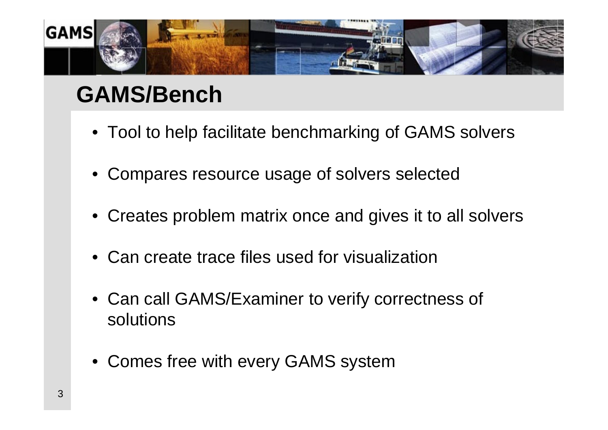

## **GAMS/Bench**

- Tool to help facilitate benchmarking of GAMS solvers
- Compares resource usage of solvers selected
- Creates problem matrix once and gives it to all solvers
- Can create trace files used for visualization
- Can call GAMS/Examiner to verify correctness of solutions
- Comes free with every GAMS system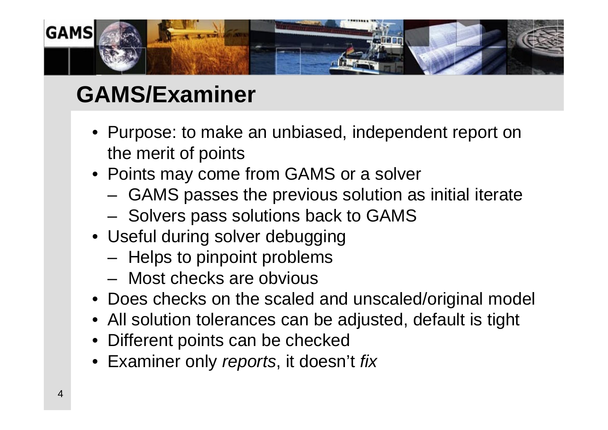

## **GAMS/Examiner**

- Purpose: to make an unbiased, independent report on the merit of points
- Points may come from GAMS or a solver
	- GAMS passes the previous solution as initial iterate
	- Solvers pass solutions back to GAMS
- Useful during solver debugging
	- Helps to pinpoint problems
	- Most checks are obvious
- Does checks on the scaled and unscaled/original model
- All solution tolerances can be adjusted, default is tight
- Different points can be checked
- Examiner only *reports*, it doesn't *fix*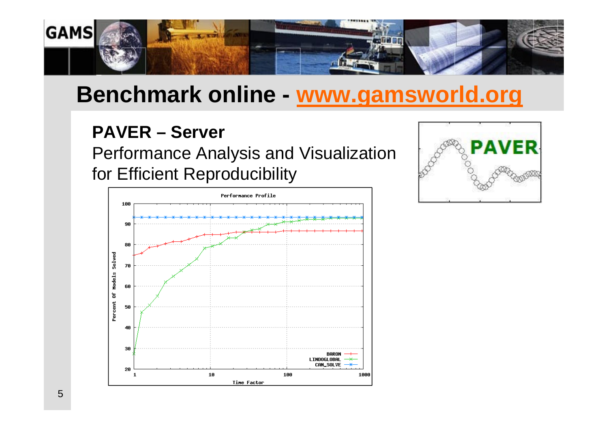

## **Benchmark online - [www.gamsworld.org](http://www.gamsworld.org)**

#### **PAVER – Server**

Performance Analysis and Visualization for Efficient Reproducibility



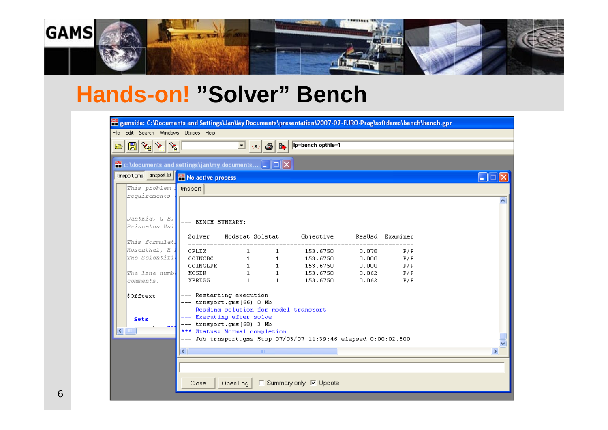

#### **Hands-on! "Solver" Bench**

| <b>PH</b> gamside: C:\Documents and Settings\Jan\My Documents\presentation\2007-07-EURO-Prag\softdemo\bench\bench.gpr |                                                                       |              |                   |                                                                                                                                                                                                                                                                                                                                                                                                                                                      |                |            |   |  |  |
|-----------------------------------------------------------------------------------------------------------------------|-----------------------------------------------------------------------|--------------|-------------------|------------------------------------------------------------------------------------------------------------------------------------------------------------------------------------------------------------------------------------------------------------------------------------------------------------------------------------------------------------------------------------------------------------------------------------------------------|----------------|------------|---|--|--|
| File Edit Search Windows Utilities Help                                                                               |                                                                       |              |                   |                                                                                                                                                                                                                                                                                                                                                                                                                                                      |                |            |   |  |  |
| $\mathbb{E} \left[ \mathbb{E} \left[ \mathbb{E} \left[ \mathbb{E} \left[ \mathbb{E} \right] \right] \right] \right]$  |                                                                       |              |                   | $\begin{array}{ c c c c c }\hline \mathbf{v} & \hline \hline \mathbf{a} & \hline \mathbf{b} & \hline \mathbf{b} & \hline \mathbf{b} & \hline \mathbf{b} & \hline \mathbf{b} & \hline \mathbf{b} & \hline \mathbf{c} & \hline \mathbf{d} & \hline \mathbf{d} & \hline \mathbf{d} & \hline \mathbf{d} & \hline \mathbf{d} & \hline \mathbf{d} & \hline \mathbf{d} & \hline \mathbf{d} & \hline \mathbf{d} & \hline \mathbf{d} & \hline \mathbf{d} & \$ |                |            |   |  |  |
|                                                                                                                       |                                                                       |              |                   |                                                                                                                                                                                                                                                                                                                                                                                                                                                      |                |            |   |  |  |
| <b>IOE</b> c:\documents and settings\jan\my documents $\boxed{\blacksquare}$ $\boxed{\square}$ $\boxed{\blacksquare}$ |                                                                       |              |                   |                                                                                                                                                                                                                                                                                                                                                                                                                                                      |                |            |   |  |  |
| trnsport.gms trnsport.lst   IDE No active process                                                                     |                                                                       |              |                   |                                                                                                                                                                                                                                                                                                                                                                                                                                                      |                |            |   |  |  |
| This problem                                                                                                          | trnsport                                                              |              |                   |                                                                                                                                                                                                                                                                                                                                                                                                                                                      |                |            |   |  |  |
| requirements                                                                                                          |                                                                       |              |                   |                                                                                                                                                                                                                                                                                                                                                                                                                                                      |                |            |   |  |  |
|                                                                                                                       |                                                                       |              |                   |                                                                                                                                                                                                                                                                                                                                                                                                                                                      |                |            |   |  |  |
| Dantzig, G B,                                                                                                         | --- BENCH SUMMARY:                                                    |              |                   |                                                                                                                                                                                                                                                                                                                                                                                                                                                      |                |            |   |  |  |
| Princeton Uni                                                                                                         |                                                                       |              |                   |                                                                                                                                                                                                                                                                                                                                                                                                                                                      |                |            |   |  |  |
| This formulat.                                                                                                        |                                                                       |              |                   | Solver Modstat Solstat Objective ResUsd Examiner                                                                                                                                                                                                                                                                                                                                                                                                     |                |            |   |  |  |
| Rosenthal, R i                                                                                                        | <b>CPLEX</b>                                                          | $\mathbf{1}$ | $1 \qquad \qquad$ | 153.6750                                                                                                                                                                                                                                                                                                                                                                                                                                             | 0.078          | P/P        |   |  |  |
| The Scientifi                                                                                                         |                                                                       |              |                   | 153.6750                                                                                                                                                                                                                                                                                                                                                                                                                                             | 0.000          | P/P        |   |  |  |
|                                                                                                                       | COINCBC 1<br>COINGLPK 1 1<br>MOSEK 1 1                                |              |                   | 153.6750                                                                                                                                                                                                                                                                                                                                                                                                                                             | 0.000          | P/P        |   |  |  |
| The line numb.<br>comments.                                                                                           | XPRESS                                                                | $1 \t 1$     |                   | 153.6750<br>153.6750                                                                                                                                                                                                                                                                                                                                                                                                                                 | 0.062<br>0.062 | P/P<br>P/P |   |  |  |
|                                                                                                                       |                                                                       |              |                   |                                                                                                                                                                                                                                                                                                                                                                                                                                                      |                |            |   |  |  |
| \$Offtext                                                                                                             | --- Restarting execution                                              |              |                   |                                                                                                                                                                                                                                                                                                                                                                                                                                                      |                |            |   |  |  |
|                                                                                                                       | --- trnsport.gms(66) 0 Mb<br>--- Reading solution for model transport |              |                   |                                                                                                                                                                                                                                                                                                                                                                                                                                                      |                |            |   |  |  |
| <b>Sets</b>                                                                                                           | --- Executing after solve                                             |              |                   |                                                                                                                                                                                                                                                                                                                                                                                                                                                      |                |            |   |  |  |
| ∢<br>$\mathbf{H}\mathbf{H}$ .                                                                                         | --- trnsport.gms(68) 3 Mb                                             |              |                   |                                                                                                                                                                                                                                                                                                                                                                                                                                                      |                |            |   |  |  |
|                                                                                                                       | *** Status: Normal completion                                         |              |                   | --- Job trnsport.gms Stop 07/03/07 11:39:46 elapsed 0:00:02.500                                                                                                                                                                                                                                                                                                                                                                                      |                |            |   |  |  |
|                                                                                                                       |                                                                       |              |                   |                                                                                                                                                                                                                                                                                                                                                                                                                                                      |                |            |   |  |  |
|                                                                                                                       | $\blacktriangleleft$                                                  |              | $-100$            |                                                                                                                                                                                                                                                                                                                                                                                                                                                      |                |            | ⊁ |  |  |
|                                                                                                                       |                                                                       |              |                   |                                                                                                                                                                                                                                                                                                                                                                                                                                                      |                |            |   |  |  |
|                                                                                                                       |                                                                       |              |                   |                                                                                                                                                                                                                                                                                                                                                                                                                                                      |                |            |   |  |  |
|                                                                                                                       | Close                                                                 | Open Loq     |                   | □ Summary only 区 Update                                                                                                                                                                                                                                                                                                                                                                                                                              |                |            |   |  |  |
|                                                                                                                       |                                                                       |              |                   |                                                                                                                                                                                                                                                                                                                                                                                                                                                      |                |            |   |  |  |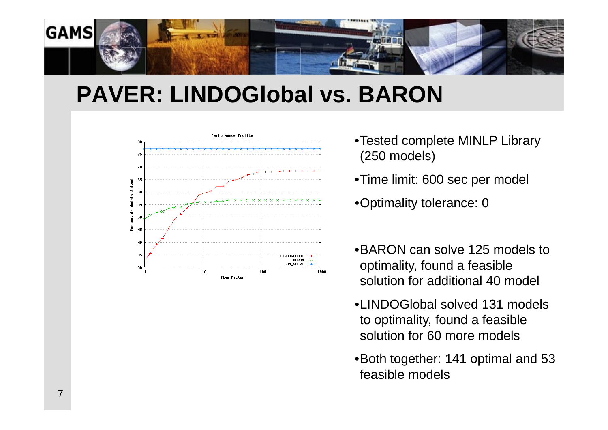

### **PAVER: LINDOGlobal vs. BARON**



- •Tested complete MINLP Library (250 models)
- •Time limit: 600 sec per model
- •Optimality tolerance: 0
- •BARON can solve 125 models to optimality, found a feasible solution for additional 40 model
- •LINDOGlobal solved 131 models to optimality, found a feasible solution for 60 more models
- •Both together: 141 optimal and 53 feasible models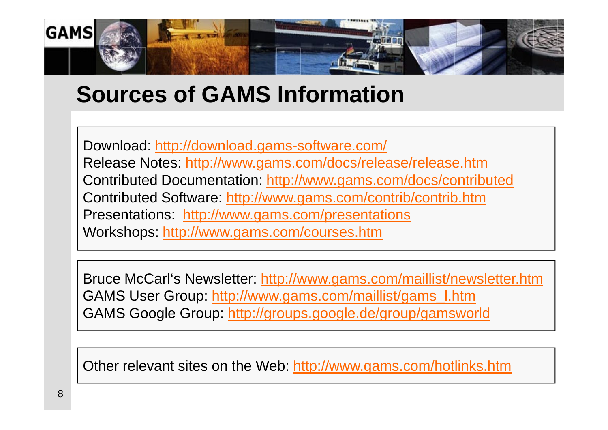

### **Sources of GAMS Information**

Download: <http://download.gams-software.com/> Release Notes: <http://www.gams.com/docs/release/release.htm> Contributed Documentation:<http://www.gams.com/docs/contributed> Contributed Software:<http://www.gams.com/contrib/contrib.htm> Presentations: <http://www.gams.com/presentations> Workshops:<http://www.gams.com/courses.htm>

Bruce McCarl's Newsletter:<http://www.gams.com/maillist/newsletter.htm> GAMS User Group: [http://www.gams.com/maillist/gams\\_l.htm](http://www.gams.com/maillist/gams_l.htm) GAMS Google Group:<http://groups.google.de/group/gamsworld>

Other relevant sites on the Web:<http://www.gams.com/hotlinks.htm>